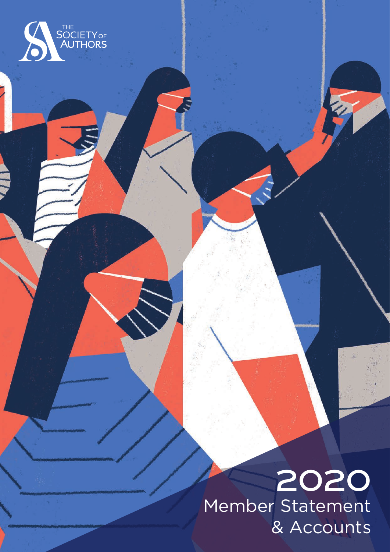

THE<br>SOCIETY OF<br>**AUTHORS**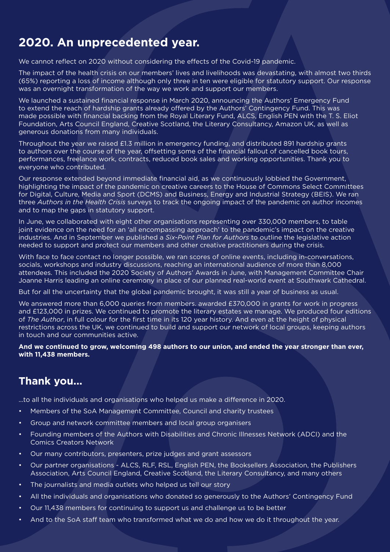We cannot reflect on 2020 without considering the effects of the Covid-19 pandemic.

The impact of the health crisis on our members' lives and livelihoods was devastating, with almost two thirds (65%) reporting a loss of income although only three in ten were eligible for statutory support. Our response was an overnight transformation of the way we work and support our members.

We launched a sustained financial response in March 2020, announcing the Authors' Emergency Fund to extend the reach of hardship grants already offered by the Authors' Contingency Fund. This was made possible with financial backing from the Royal Literary Fund, ALCS, English PEN with the T. S. Eliot Foundation, Arts Council England, Creative Scotland, the Literary Consultancy, Amazon UK, as well as generous donations from many individuals.

Throughout the year we raised £1.3 million in emergency funding, and distributed 891 hardship grants to authors over the course of the year, offsetting some of the financial fallout of cancelled book tours, performances, freelance work, contracts, reduced book sales and working opportunities. Thank you to everyone who contributed.

Our response extended beyond immediate financial aid, as we continuously lobbied the Government, highlighting the impact of the pandemic on creative careers to the House of Commons Select Committees for Digital, Culture, Media and Sport (DCMS) and Business, Energy and Industrial Strategy (BEIS). We ran three *Authors in the Health Crisis* surveys to track the ongoing impact of the pandemic on author incomes and to map the gaps in statutory support.

In June, we collaborated with eight other organisations representing over 330,000 members, to table joint evidence on the need for an 'all encompassing approach' to the pandemic's impact on the creative industries. And in September we published a *Six-Point Plan for Authors* to outline the legislative action needed to support and protect our members and other creative practitioners during the crisis.

With face to face contact no longer possible, we ran scores of online events, including in-conversations, socials, workshops and industry discussions, reaching an international audience of more than 8,000 attendees. This included the 2020 Society of Authors' Awards in June, with Management Committee Chair Joanne Harris leading an online ceremony in place of our planned real-world event at Southwark Cathedral.

But for all the uncertainty that the global pandemic brought, it was still a year of business as usual.

We answered more than 6,000 queries from members. awarded £370,000 in grants for work in progress and £123,000 in prizes. We continued to promote the literary estates we manage. We produced four editions of *The Author*, in full colour for the first time in its 120 year history. And even at the height of physical restrictions across the UK, we continued to build and support our network of local groups, keeping authors in touch and our communities active.

## **And we continued to grow, welcoming 498 authors to our union, and ended the year stronger than ever, with 11,438 members.**

# **Thank you...**

...to all the individuals and organisations who helped us make a difference in 2020.

- Members of the SoA Management Committee, Council and charity trustees
- Group and network committee members and local group organisers
- Founding members of the Authors with Disabilities and Chronic Illnesses Network (ADCI) and the Comics Creators Network
- Our many contributors, presenters, prize judges and grant assessors
- Our partner organisations ALCS, RLF, RSL, English PEN, the Booksellers Association, the Publishers Association, Arts Council England, Creative Scotland, the Literary Consultancy, and many others
- The journalists and media outlets who helped us tell our story
- All the individuals and organisations who donated so generously to the Authors' Contingency Fund
- Our 11,438 members for continuing to support us and challenge us to be better
- And to the SoA staff team who transformed what we do and how we do it throughout the year.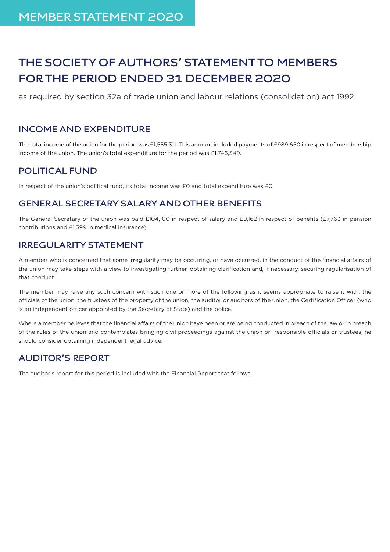# **THE SOCIETY OF AUTHORS' STATEMENT TO MEMBERS FOR THE PERIOD ENDED 31 DECEMBER 2020**

as required by section 32a of trade union and labour relations (consolidation) act 1992

## **INCOME AND EXPENDITURE**

The total income of the union for the period was £1,555,311. This amount included payments of £989,650 in respect of membership income of the union. The union's total expenditure for the period was £1,746,349.

## **POLITICAL FUND**

In respect of the union's political fund, its total income was £0 and total expenditure was £0.

## **GENERAL SECRETARY SALARY AND OTHER BENEFITS**

The General Secretary of the union was paid £104,100 in respect of salary and £9,162 in respect of benefits (£7,763 in pension contributions and £1,399 in medical insurance).

## **IRREGULARITY STATEMENT**

A member who is concerned that some irregularity may be occurring, or have occurred, in the conduct of the financial affairs of the union may take steps with a view to investigating further, obtaining clarification and, if necessary, securing regularisation of that conduct.

The member may raise any such concern with such one or more of the following as it seems appropriate to raise it with: the officials of the union, the trustees of the property of the union, the auditor or auditors of the union, the Certification Officer (who is an independent officer appointed by the Secretary of State) and the police.

Where a member believes that the financial affairs of the union have been or are being conducted in breach of the law or in breach of the rules of the union and contemplates bringing civil proceedings against the union or responsible officials or trustees, he should consider obtaining independent legal advice.

## **AUDITOR'S REPORT**

The auditor's report for this period is included with the Financial Report that follows.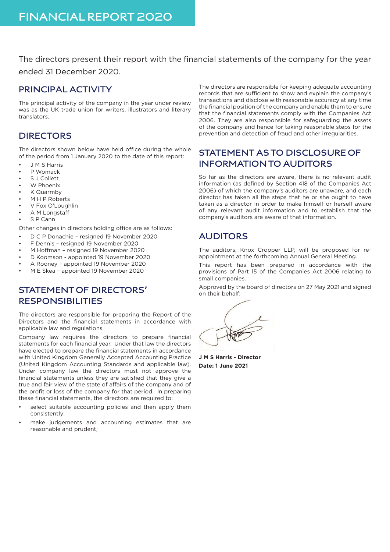The directors present their report with the financial statements of the company for the year ended 31 December 2020.

## **PRINCIPAL ACTIVITY**

The principal activity of the company in the year under review was as the UK trade union for writers, illustrators and literary translators.

## **DIRECTORS**

The directors shown below have held office during the whole of the period from 1 January 2020 to the date of this report:

- J M S Harris
- P Womack
- S J Collett
- W Phoenix
- K Quarmby
- M H P Roberts
- V Fox O'Loughlin
- A M Longstaff
- S P Cann

Other changes in directors holding office are as follows:

- D C P Donachie resigned 19 November 2020
- F Dennis resigned 19 November 2020
- M Hoffman resigned 19 November 2020
- D Koomson appointed 19 November 2020
- A Rooney appointed 19 November 2020
- M E Skea appointed 19 November 2020

## **STATEMENT OF DIRECTORS' RESPONSIBILITIES**

The directors are responsible for preparing the Report of the Directors and the financial statements in accordance with applicable law and regulations.

Company law requires the directors to prepare financial statements for each financial year. Under that law the directors have elected to prepare the financial statements in accordance with United Kingdom Generally Accepted Accounting Practice (United Kingdom Accounting Standards and applicable law). Under company law the directors must not approve the financial statements unless they are satisfied that they give a true and fair view of the state of affairs of the company and of the profit or loss of the company for that period. In preparing these financial statements, the directors are required to:

- select suitable accounting policies and then apply them consistently;
- make judgements and accounting estimates that are reasonable and prudent;

The directors are responsible for keeping adequate accounting records that are sufficient to show and explain the company's transactions and disclose with reasonable accuracy at any time the financial position of the company and enable them to ensure that the financial statements comply with the Companies Act 2006. They are also responsible for safeguarding the assets of the company and hence for taking reasonable steps for the prevention and detection of fraud and other irregularities.

## **STATEMENT AS TO DISCLOSURE OF INFORMATION TO AUDITORS**

So far as the directors are aware, there is no relevant audit information (as defined by Section 418 of the Companies Act 2006) of which the company's auditors are unaware, and each director has taken all the steps that he or she ought to have taken as a director in order to make himself or herself aware of any relevant audit information and to establish that the company's auditors are aware of that information.

## **AUDITORS**

The auditors, Knox Cropper LLP, will be proposed for reappointment at the forthcoming Annual General Meeting.

This report has been prepared in accordance with the provisions of Part 15 of the Companies Act 2006 relating to small companies.

Approved by the board of directors on 27 May 2021 and signed on their behalf:

**J M S Harris - Director Date: 1 June 2021**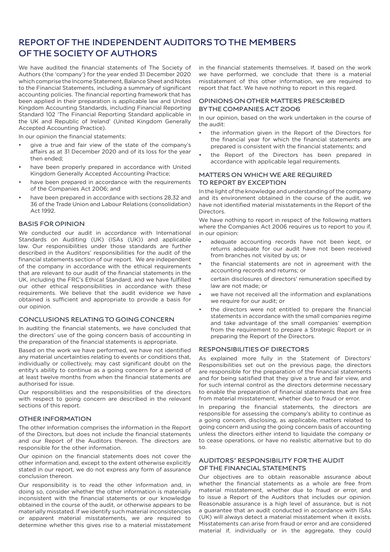## **REPORT OF THE INDEPENDENT AUDITORS TO THE MEMBERS OF THE SOCIETY OF AUTHORS**

We have audited the financial statements of The Society of Authors (the 'company') for the year ended 31 December 2020 which comprise the Income Statement, Balance Sheet and Notes to the Financial Statements, including a summary of significant accounting policies. The financial reporting framework that has been applied in their preparation is applicable law and United Kingdom Accounting Standards, including Financial Reporting Standard 102 'The Financial Reporting Standard applicable in the UK and Republic of Ireland' (United Kingdom Generally Accepted Accounting Practice).

In our opinion the financial statements:

- give a true and fair view of the state of the company's affairs as at 31 December 2020 and of its loss for the year then ended;
- have been properly prepared in accordance with United Kingdom Generally Accepted Accounting Practice;
- have been prepared in accordance with the requirements of the Companies Act 2006; and
- have been prepared in accordance with sections 28,32 and 36 of the Trade Union and Labour Relations (consolidation) Act 1992.

### **BASIS FOR OPINION**

We conducted our audit in accordance with International Standards on Auditing (UK) (ISAs (UK)) and applicable law. Our responsibilities under those standards are further described in the Auditors' responsibilities for the audit of the financial statements section of our report. We are independent of the company in accordance with the ethical requirements that are relevant to our audit of the financial statements in the UK, including the FRC's Ethical Standard, and we have fulfilled our other ethical responsibilities in accordance with these requirements. We believe that the audit evidence we have obtained is sufficient and appropriate to provide a basis for our opinion.

## **CONCLUSIONS RELATING TO GOING CONCERN**

In auditing the financial statements, we have concluded that the directors' use of the going concern basis of accounting in the preparation of the financial statements is appropriate.

Based on the work we have performed, we have not identified any material uncertainties relating to events or conditions that, individually or collectively, may cast significant doubt on the entity's ability to continue as a going concern for a period of at least twelve months from when the financial statements are authorised for issue.

Our responsibilities and the responsibilities of the directors with respect to going concern are described in the relevant sections of this report.

### **OTHER INFORMATION**

The other information comprises the information in the Report of the Directors, but does not include the financial statements and our Report of the Auditors thereon. The directors are responsible for the other information.

Our opinion on the financial statements does not cover the other information and, except to the extent otherwise explicitly stated in our report, we do not express any form of assurance conclusion thereon.

Our responsibility is to read the other information and, in doing so, consider whether the other information is materially inconsistent with the financial statements or our knowledge obtained in the course of the audit, or otherwise appears to be materially misstated. If we identify such material inconsistencies or apparent material misstatements, we are required to determine whether this gives rise to a material misstatement in the financial statements themselves. If, based on the work we have performed, we conclude that there is a material misstatement of this other information, we are required to report that fact. We have nothing to report in this regard.

## **OPINIONS ON OTHER MATTERS PRESCRIBED BY THE COMPANIES ACT 2006**

In our opinion, based on the work undertaken in the course of the audit:

- the information given in the Report of the Directors for the financial year for which the financial statements are prepared is consistent with the financial statements; and
- the Report of the Directors has been prepared in accordance with applicable legal requirements.

## **MATTERS ON WHICH WE ARE REQUIRED TO REPORT BY EXCEPTION**

In the light of the knowledge and understanding of the company and its environment obtained in the course of the audit, we have not identified material misstatements in the Report of the Directors.

We have nothing to report in respect of the following matters where the Companies Act 2006 requires us to report to you if. in our opinion:

- adequate accounting records have not been kept, or returns adequate for our audit have not been received from branches not visited by us; or
- the financial statements are not in agreement with the accounting records and returns; or
- certain disclosures of directors' remuneration specified by law are not made; or
- we have not received all the information and explanations we require for our audit; or
- the directors were not entitled to prepare the financial statements in accordance with the small companies regime and take advantage of the small companies' exemption from the requirement to prepare a Strategic Report or in preparing the Report of the Directors.

### **RESPONSIBILITIES OF DIRECTORS**

As explained more fully in the Statement of Directors' Responsibilities set out on the previous page, the directors are responsible for the preparation of the financial statements and for being satisfied that they give a true and fair view, and for such internal control as the directors determine necessary to enable the preparation of financial statements that are free from material misstatement, whether due to fraud or error.

In preparing the financial statements, the directors are responsible for assessing the company's ability to continue as a going concern, disclosing, as applicable, matters related to going concern and using the going concern basis of accounting unless the directors either intend to liquidate the company or to cease operations, or have no realistic alternative but to do so.

## **AUDITORS' RESPONSIBILITY FOR THE AUDIT OF THE FINANCIAL STATEMENTS**

Our objectives are to obtain reasonable assurance about whether the financial statements as a whole are free from material misstatement, whether due to fraud or error, and to issue a Report of the Auditors that includes our opinion. Reasonable assurance is a high level of assurance, but is not a guarantee that an audit conducted in accordance with ISAs (UK) will always detect a material misstatement when it exists. Misstatements can arise from fraud or error and are considered material if, individually or in the aggregate, they could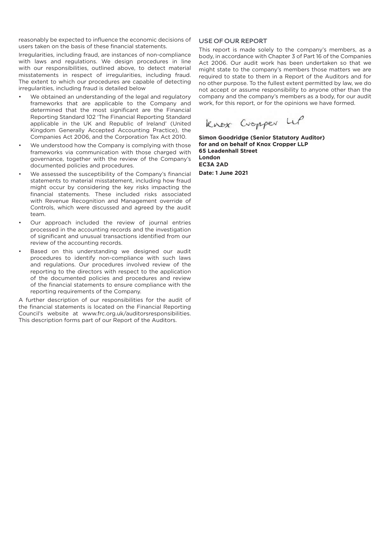reasonably be expected to influence the economic decisions of users taken on the basis of these financial statements.

Irregularities, including fraud, are instances of non-compliance with laws and regulations. We design procedures in line with our responsibilities, outlined above, to detect material misstatements in respect of irregularities, including fraud. The extent to which our procedures are capable of detecting irregularities, including fraud is detailed below

- We obtained an understanding of the legal and regulatory frameworks that are applicable to the Company and determined that the most significant are the Financial Reporting Standard 102 'The Financial Reporting Standard applicable in the UK and Republic of Ireland' (United Kingdom Generally Accepted Accounting Practice), the Companies Act 2006, and the Corporation Tax Act 2010.
- We understood how the Company is complying with those frameworks via communication with those charged with governance, together with the review of the Company's documented policies and procedures.
- We assessed the susceptibility of the Company's financial statements to material misstatement, including how fraud might occur by considering the key risks impacting the financial statements. These included risks associated with Revenue Recognition and Management override of Controls, which were discussed and agreed by the audit team.
- Our approach included the review of journal entries processed in the accounting records and the investigation of significant and unusual transactions identified from our review of the accounting records.
- Based on this understanding we designed our audit procedures to identify non-compliance with such laws and regulations. Our procedures involved review of the reporting to the directors with respect to the application of the documented policies and procedures and review of the financial statements to ensure compliance with the reporting requirements of the Company.

A further description of our responsibilities for the audit of the financial statements is located on the Financial Reporting Council's website at www.frc.org.uk/auditorsresponsibilities. This description forms part of our Report of the Auditors.

### **USE OF OUR REPORT**

This report is made solely to the company's members, as a body, in accordance with Chapter 3 of Part 16 of the Companies Act 2006. Our audit work has been undertaken so that we might state to the company's members those matters we are required to state to them in a Report of the Auditors and for no other purpose. To the fullest extent permitted by law, we do not accept or assume responsibility to anyone other than the company and the company's members as a body, for our audit work, for this report, or for the opinions we have formed.

knox Cropper Lip

**Simon Goodridge (Senior Statutory Auditor) for and on behalf of Knox Cropper LLP 65 Leadenhall Street London EC3A 2AD Date: 1 June 2021**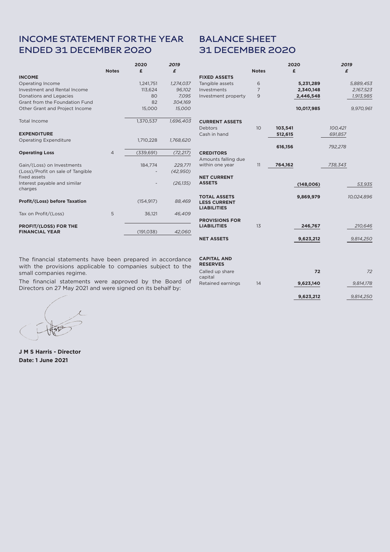## **INCOME STATEMENT FOR THE YEAR ENDED 31 DECEMBER 2020**

|                                                       | <b>Notes</b>   | 2020<br>£  | 2019<br>£ |
|-------------------------------------------------------|----------------|------------|-----------|
| <b>INCOME</b>                                         |                |            |           |
| Operating Income                                      |                | 1,241,751  | 1,274,037 |
| Investment and Rental Income                          |                | 113.624    | 96.102    |
| Donations and Legacies                                |                | 80         | 7.095     |
| Grant from the Foundation Fund                        |                | 82         | 304,169   |
| Other Grant and Project Income                        |                | 15.000     | 15,000    |
| Total Income                                          |                | 1,370,537  | 1,696,403 |
| <b>EXPENDITURE</b>                                    |                |            |           |
| <b>Operating Expenditure</b>                          |                | 1,710,228  | 1,768,620 |
| <b>Operating Loss</b>                                 | $\overline{4}$ | (339, 691) | (72, 217) |
| Gain/(Loss) on Investments                            |                | 184.774    | 229.771   |
| (Loss)/Profit on sale of Tangible<br>fixed assets     |                |            | (42, 950) |
| Interest payable and similar<br>charges               |                |            | (26, 135) |
| <b>Profit/(Loss) before Taxation</b>                  |                | (154, 917) | 88.469    |
| Tax on Profit/(Loss)                                  | 5              | 36,121     | 46.409    |
| <b>PROFIT/(LOSS) FOR THE</b><br><b>FINANCIAL YEAR</b> |                | (191, 038) | 42,060    |
|                                                       |                |            |           |

The financial statements have been prepared in accordance with the provisions applicable to companies subject to the small companies regime.

The financial statements were approved by the Board of Directors on 27 May 2021 and were signed on its behalf by:

**J M S Harris - Director Date: 1 June 2021**

## **BALANCE SHEET 31 DECEMBER 2020**

|                                                                              | <b>Notes</b> | 2020<br>£          |                                     | 2019<br>£          |                                     |
|------------------------------------------------------------------------------|--------------|--------------------|-------------------------------------|--------------------|-------------------------------------|
| <b>FIXED ASSETS</b><br>Tangible assets<br>Investments<br>Investment property | 6<br>7<br>9  |                    | 5,231,289<br>2,340,148<br>2,446,548 |                    | 5,889,453<br>2,167,523<br>1,913,985 |
| <b>CURRENT ASSETS</b><br>Debtors<br>Cash in hand                             | 10           | 103,541<br>512,615 | 10,017,985                          | 100,421<br>691,857 | 9,970,961                           |
| <b>CREDITORS</b><br>Amounts falling due                                      |              | 616,156            |                                     | 792,278            |                                     |
| within one year<br><b>NET CURRENT</b>                                        | 11           | 764,162            |                                     | 738,343            |                                     |
| <b>ASSETS</b>                                                                |              |                    | (148,006)                           |                    | 53,935                              |
| <b>TOTAL ASSETS</b><br><b>LESS CURRENT</b><br><b>LIABILITIES</b>             |              |                    | 9,869,979                           |                    | 10,024,896                          |
| <b>PROVISIONS FOR</b><br><b>LIABILITIES</b>                                  | 13           |                    | 246,767                             |                    | 210,646                             |
| <b>NET ASSETS</b>                                                            |              |                    | 9,623,212                           |                    | 9,814,250                           |
| <b>CAPITAL AND</b><br><b>RESERVES</b>                                        |              |                    |                                     |                    |                                     |
| Called up share<br>capital                                                   |              |                    | 72                                  |                    | 72                                  |
| Retained earnings                                                            | 14           |                    | 9,623,140                           |                    | 9,814,178                           |
|                                                                              |              |                    | 9,623,212                           |                    | 9,814,250                           |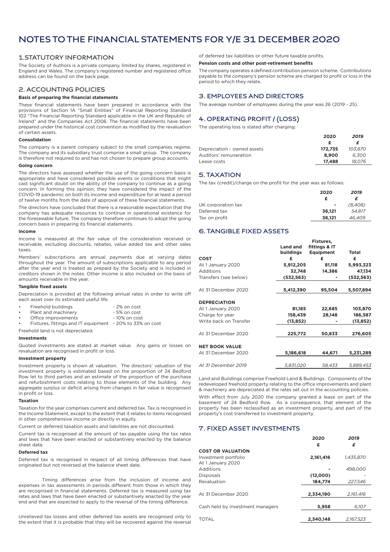## **NOTES TO THE FINANCIAL STATEMENTS FOR Y/E 31 DECEMBER 2020**

### **1.STATUTORY INFORMATION**

The Society of Authors is a private company, limited by shares, registered in England and Wales. The company's registered number and registered office address can be found on the back page.

### **2. ACCOUNTING POLICIES**

#### **Basis of preparing the financial statements**

These financial statements have been prepared in accordance with the provisions of Section 1A "Small Entities" of Financial Reporting Standard 102 "The Financial Reporting Standard applicable in the UK and Republic of Ireland" and the Companies Act 2006. The financial statements have been prepared under the historical cost convention as modified by the revaluation of certain assets.

#### **Consolidation**

The company is a parent company subject to the small companies regime. The company and its subsidiary trust comprise a small group. The company is therefore not required to and has not chosen to prepare group accounts.

#### **Going concern**

The directors have assessed whether the use of the going concern basis is appropriate and have considered possible events or conditions that might cast significant doubt on the ability of the company to continue as a going concern. In forming this opinion, they have considered the impact of the COVID-19 pandemic on both its income and expenditure for at least a period of twelve months from the date of approval of these financial statements.

The directors have concluded that there is a reasonable expectation that the company has adequate resources to continue in operational existence for the foreseeable future. The company therefore continues to adopt the going concern basis in preparing its financial statements.

#### **Income**

Income is measured at the fair value of the consideration received or receivable, excluding discounts, rebates, value added tax and other sales taxes.

Members' subscriptions are annual payments due at varying dates throughout the year. The amount of subscriptions applicable to any period after the year end is treated as prepaid by the Society and is included in creditors shown in the notes. Other income is also included on the basis of amounts receivable in the year.

#### **Tangible fixed assets**

Depreciation is provided at the following annual rates in order to write off each asset over its estimated useful life.

| $\bullet$ | Freehold buildings  | $-2\%$ on cost |
|-----------|---------------------|----------------|
| $\bullet$ | Plant and machinery | - 5% on cost   |
| $\bullet$ | Office improvements | - 10% on cost  |

- Fixtures, fittings and IT equipment 20% to 33% on cost
- Freehold land is not depreciated.

#### **Investments**

Quoted investments are stated at market value. Any gains or losses on revaluation are recognised in profit or loss.

#### **Investment property**

Investment property is shown at valuation. The directors' valuation of the investment property is estimated based on the proportion of 24 Bedford Row let to third parties and an estimate of the proportion of the purchase and refurbishment costs relating to those elements of the building. Any aggregate surplus or deficit arising from changes in fair value is recognised in profit or loss.

#### **Taxation**

Taxation for the year comprises current and deferred tax. Tax is recognised in the Income Statement, except to the extent that it relates to items recognised in other comprehensive income or directly in equity.

Current or deferred taxation assets and liabilities are not discounted.

Current tax is recognised at the amount of tax payable using the tax rates and laws that have been enacted or substantively enacted by the balance sheet date.

#### **Deferred tax**

Deferred tax is recognised in respect of all timing differences that have originated but not reversed at the balance sheet date.

Timing differences arise from the inclusion of income and expenses in tax assessments in periods different from those in which they are recognised in financial statements. Deferred tax is measured using tax rates and laws that have been enacted or substantively enacted by the year end and that are expected to apply to the reversal of the timing difference.

Unrelieved tax losses and other deferred tax assets are recognised only to the extent that it is probable that they will be recovered against the reversal

of deferred tax liabilities or other future taxable profits.

#### **Pension costs and other post-retirement benefits**

The company operates a defined contribution pension scheme. Contributions payable to the company's pension scheme are charged to profit or loss in the period to which they relate.

## **3. EMPLOYEES AND DIRECTORS**

The average number of employees during the year was 26 (2019 - 25).

## **4. OPERATING PROFIT / (LOSS)**

The operating loss is stated after charging:

|                             | 2020    | 2019    |  |
|-----------------------------|---------|---------|--|
|                             |         |         |  |
| Depreciation - owned assets | 172.735 | 103.870 |  |
| Auditors' remuneration      | 8.900   | 6.300   |  |
| Lease costs                 | 17.488  | 18.076  |  |

### **5. TAXATION**

The tax (credit)/charge on the profit for the year was as follows:

|                    | 2020           | 2019    |
|--------------------|----------------|---------|
|                    |                |         |
| UK corporation tax | $\blacksquare$ | (8.408) |
| Deferred tax       | 36.121         | 54.817  |
| Tax on profit      | 36.121         | 46.409  |
|                    |                |         |

## **6. TANGIBLE FIXED ASSETS**

|                        | <b>Land and</b> | Fixtures,<br>fittings & IT |            |
|------------------------|-----------------|----------------------------|------------|
|                        | buildings       | Equipment                  | Total      |
| <b>COST</b>            | £               | £                          | £          |
| At 1 January 2020      | 5,912,205       | 81,118                     | 5,993,323  |
| <b>Additions</b>       | 32,748          | 14,386                     | 47,134     |
| Transfers (see below)  | (532, 563)      |                            | (532, 563) |
| At 31 December 2020    | 5,412,390       | 95,504                     | 5,507,894  |
| <b>DEPRECIATION</b>    |                 |                            |            |
| At 1 January 2020      | 81,185          | 22,685                     | 103,870    |
| Charge for year        | 158,439         | 28,148                     | 186,587    |
| Write back on Transfer | (13, 852)       |                            | (13, 852)  |
| At 31 December 2020    | 225,772         | 50,833                     | 276,605    |
| <b>NET BOOK VALUE</b>  |                 |                            |            |
| At 31 December 2020    | 5,186,618       | 44,671                     | 5,231,289  |
| At 31 December 2019    | 5,831,020       | 58,433                     | 5,889,453  |
|                        |                 |                            |            |

Land and Buildings comprise Freehold Land & Buildings. Components of the redeveloped freehold property relating to the office improvements and plant & machinery are depreciated at the rates set out in the accounting policies.

With effect from July 2020 the company granted a lease on part of the basement of 24 Bedford Row. As a consequence, that element of the property has been reclassified as an investment property, and part of the property's cost transferred to investment property.

### **7. FIXED ASSET INVESTMENTS**

|                                           | 2020<br>£ | 2019<br>£ |
|-------------------------------------------|-----------|-----------|
| <b>COST OR VALUATION</b>                  |           |           |
| Investment portfolio<br>At 1 January 2020 | 2,161,416 | 1.435.870 |
| Additions                                 |           | 498.000   |
| <b>Disposals</b>                          | (12,000)  |           |
| Revaluation                               | 184.774   | 227.546   |
| At 31 December 2020                       | 2,334,190 | 2.161.416 |
| Cash held by investment managers          | 5,958     | 6,107     |
| <b>TOTAL</b>                              | 2,340,148 | 2,167,523 |
|                                           |           |           |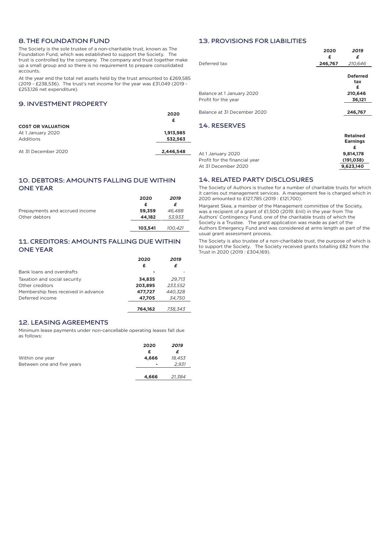### **8. THE FOUNDATION FUND**

The Society is the sole trustee of a non-charitable trust, known as The Foundation Fund, which was established to support the Society. The trust is controlled by the company. The company and trust together make up a small group and so there is no requirement to prepare consolidated accounts.

At the year end the total net assets held by the trust amounted to £269,585 (2019 - £238,536). The trust's net income for the year was £31,049 (2019 - £253,126 net expenditure).

## **9. INVESTMENT PROPERTY**

|                          | 2020      |
|--------------------------|-----------|
|                          | £         |
| <b>COST OR VALUATION</b> |           |
| At 1 January 2020        | 1,913,985 |
| Additions                | 532,563   |
|                          |           |
| At 31 December 2020      | 2,446,548 |
|                          |           |

### **10. DEBTORS: AMOUNTS FALLING DUE WITHIN ONE YEAR**

|                                                 | 2020<br>£        | 2019<br>£        |
|-------------------------------------------------|------------------|------------------|
| Prepayments and accrued income<br>Other debtors | 59.359<br>44.182 | 46,488<br>53.933 |
|                                                 | 103.541          | 100.421          |

## **11. CREDITORS: AMOUNTS FALLING DUE WITHIN ONE YEAR**

|                                     | 2020<br>£ | 2019<br>£ |
|-------------------------------------|-----------|-----------|
| Bank loans and overdrafts           |           |           |
| Taxation and social security        | 34.835    | 29.713    |
| Other creditors                     | 203.895   | 233.552   |
| Membership fees received in advance | 477,727   | 440.328   |
| Deferred income                     | 47,705    | 34.750    |
|                                     | 764.162   | 738.343   |
|                                     |           |           |

## **12. LEASING AGREEMENTS**

Minimum lease payments under non-cancellable operating leases fall due as follows:

|                            | 2020                     | 2019   |
|----------------------------|--------------------------|--------|
|                            |                          |        |
| Within one year            | 4,666                    | 18,453 |
| Between one and five years | $\overline{\phantom{0}}$ | 2.931  |
|                            |                          |        |
|                            | 4,666                    | 21.384 |

## **13. PROVISIONS FOR LIABILITIES**

|                                                  | 2020    | 2019                                    |
|--------------------------------------------------|---------|-----------------------------------------|
|                                                  | £       | £                                       |
| Deferred tax                                     | 246,767 | 210,646                                 |
|                                                  |         | <b>Deferred</b><br>tax<br>£             |
| Balance at 1 January 2020<br>Profit for the year |         | 210,646<br>36,121                       |
| Balance at 31 December 2020                      |         | 246,767                                 |
| <b>14. RESERVES</b>                              |         |                                         |
|                                                  |         | <b>Retained</b><br><b>Earnings</b><br>£ |
| At 1 January 2020                                |         | 9,814,178                               |

## **14. RELATED PARTY DISCLOSURES**

The Society of Authors is trustee for a number of charitable trusts for which it carries out management services. A management fee is charged which in 2020 amounted to £127,785 (2019 : £121,700).

Profit for the financial year **(191,038)** At 31 December 2020 **9,623,140**

Margaret Skea, a member of the Management committee of the Society, was a recipient of a grant of £1,500 (2019: £nil) in the year from The Authors' Contingency Fund, one of the charitable trusts of which the Society is a Trustee. The grant application was made as part of the Authors Emergency Fund and was considered at arms length as part of the usual grant assessment process.

The Society is also trustee of a non-charitable trust, the purpose of which is to support the Society. The Society received grants totalling £82 from the Trust in 2020 (2019 : £304,169).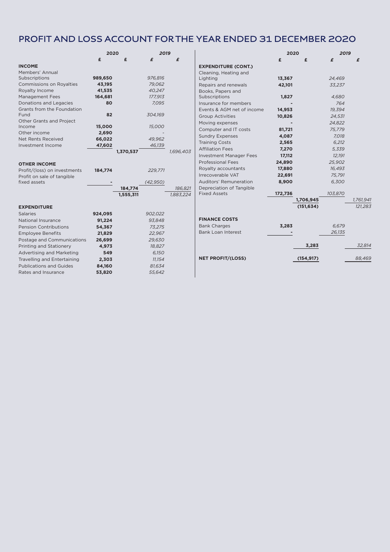## **PROFIT AND LOSS ACCOUNT FOR THE YEAR ENDED 31 DECEMBER 2020**

|                                            | 2020    |                      | 2019      |                      |
|--------------------------------------------|---------|----------------------|-----------|----------------------|
|                                            | £       | £                    | £         | £                    |
| <b>INCOME</b>                              |         |                      |           |                      |
| Members' Annual                            |         |                      |           |                      |
| Subscriptions                              | 989,650 |                      | 976,816   |                      |
| <b>Commissions on Royalties</b>            | 43,195  |                      | 79,062    |                      |
| Royalty Income                             | 41,535  |                      | 40.247    |                      |
| <b>Management Fees</b>                     | 164,681 |                      | 177,913   |                      |
| <b>Donations and Legacies</b>              | 80      |                      | 7,095     |                      |
| Grants from the Foundation                 |         |                      |           |                      |
| Fund                                       | 82      |                      | 304,169   |                      |
| Other Grants and Project                   |         |                      |           |                      |
| Income                                     | 15,000  |                      | 15,000    |                      |
| Other income                               | 2,690   |                      |           |                      |
| Net Rents Received                         | 66,022  |                      | 49.962    |                      |
| Investment Income                          | 47,602  |                      | 46,139    |                      |
|                                            |         | 1,370,537            |           | 1,696,403            |
|                                            |         |                      |           |                      |
| <b>OTHER INCOME</b>                        |         |                      |           |                      |
| Profit/(loss) on investments               | 184,774 |                      | 229,771   |                      |
| Profit on sale of tangible<br>fixed assets |         |                      |           |                      |
|                                            |         |                      | (42, 950) |                      |
|                                            |         | 184,774<br>1,555,311 |           | 186,821<br>1,883,224 |
|                                            |         |                      |           |                      |
| <b>EXPENDITURE</b>                         |         |                      |           |                      |
| <b>Salaries</b>                            | 924,095 |                      | 902,022   |                      |
| National Insurance                         | 91,224  |                      | 93,848    |                      |
| <b>Pension Contributions</b>               | 54,367  |                      | 73,275    |                      |
| <b>Employee Benefits</b>                   | 21,829  |                      | 22,967    |                      |
| Postage and Communications                 | 26,699  |                      | 29,630    |                      |
| Printing and Stationery                    | 4,973   |                      | 18,827    |                      |
| Advertising and Marketing                  | 549     |                      | 6,150     |                      |
| <b>Travelling and Entertaining</b>         | 2,303   |                      | 11,154    |                      |
| <b>Publications and Guides</b>             | 84,160  |                      | 81,634    |                      |
| Rates and Insurance                        | 53,820  |                      | 55,642    |                      |
|                                            |         |                      |           |                      |

|                                | 2020    |            | 2019    |           |
|--------------------------------|---------|------------|---------|-----------|
|                                | £       | £          | £       | £         |
| <b>EXPENDITURE (CONT.)</b>     |         |            |         |           |
| Cleaning, Heating and          |         |            |         |           |
| Lighting                       | 13,367  |            | 24.469  |           |
| Repairs and renewals           | 42,101  |            | 33.237  |           |
| Books, Papers and              |         |            |         |           |
| Subscriptions                  | 1,827   |            | 4,680   |           |
| Insurance for members          |         |            | 764     |           |
| Events & AGM net of income     | 14,953  |            | 19.394  |           |
| <b>Group Activities</b>        | 10,826  |            | 24,531  |           |
| Moving expenses                |         |            | 24.822  |           |
| Computer and IT costs          | 81,721  |            | 75.779  |           |
| <b>Sundry Expenses</b>         | 4,087   |            | 7,018   |           |
| <b>Training Costs</b>          | 2,565   |            | 6,212   |           |
| <b>Affiliation Fees</b>        | 7,270   |            | 5.339   |           |
| <b>Investment Manager Fees</b> | 17,112  |            | 12,191  |           |
| <b>Professional Fees</b>       | 24,890  |            | 25,902  |           |
| Royalty accountants            | 17,880  |            | 16,493  |           |
| Irrecoverable VAT              | 22,691  |            | 75.791  |           |
| Auditors' Remuneration         | 8,900   |            | 6,300   |           |
| Depreciation of Tangible       |         |            |         |           |
| <b>Fixed Assets</b>            | 172,736 |            | 103,870 |           |
|                                |         | 1,706,945  |         | 1,761,941 |
|                                |         | (151, 634) |         | 121,283   |
|                                |         |            |         |           |
| <b>FINANCE COSTS</b>           |         |            |         |           |
| <b>Bank Charges</b>            | 3,283   |            | 6.679   |           |
| Bank Loan Interest             |         |            | 26,135  |           |
|                                |         |            |         |           |
|                                |         | 3,283      |         | 32,814    |
| <b>NET PROFIT/(LOSS)</b>       |         |            |         | 88,469    |
|                                |         | (154, 917) |         |           |